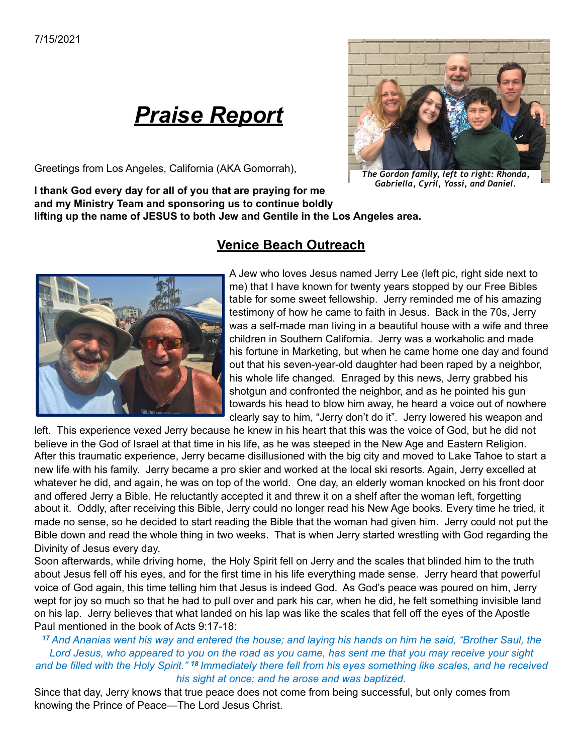# *Praise Report*

Greetings from Los Angeles, California (AKA Gomorrah),

#### **I thank God every day for all of you that are praying for me and my Ministry Team and sponsoring us to continue boldly**

**lifting up the name of JESUS to both Jew and Gentile in the Los Angeles area.**

A Jew who loves Jesus named Jerry Lee (left pic, right side next to me) that I have known for twenty years stopped by our Free Bibles table for some sweet fellowship. Jerry reminded me of his amazing testimony of how he came to faith in Jesus. Back in the 70s, Jerry was a self-made man living in a beautiful house with a wife and three children in Southern California. Jerry was a workaholic and made his fortune in Marketing, but when he came home one day and found out that his seven-year-old daughter had been raped by a neighbor, his whole life changed. Enraged by this news, Jerry grabbed his shotgun and confronted the neighbor, and as he pointed his gun towards his head to blow him away, he heard a voice out of nowhere clearly say to him, "Jerry don't do it". Jerry lowered his weapon and

left. This experience vexed Jerry because he knew in his heart that this was the voice of God, but he did not believe in the God of Israel at that time in his life, as he was steeped in the New Age and Eastern Religion. After this traumatic experience, Jerry became disillusioned with the big city and moved to Lake Tahoe to start a new life with his family. Jerry became a pro skier and worked at the local ski resorts. Again, Jerry excelled at whatever he did, and again, he was on top of the world. One day, an elderly woman knocked on his front door and offered Jerry a Bible. He reluctantly accepted it and threw it on a shelf after the woman left, forgetting about it. Oddly, after receiving this Bible, Jerry could no longer read his New Age books. Every time he tried, it made no sense, so he decided to start reading the Bible that the woman had given him. Jerry could not put the Bible down and read the whole thing in two weeks. That is when Jerry started wrestling with God regarding the Divinity of Jesus every day.

**Venice Beach Outreach** 

Soon afterwards, while driving home, the Holy Spirit fell on Jerry and the scales that blinded him to the truth about Jesus fell off his eyes, and for the first time in his life everything made sense. Jerry heard that powerful voice of God again, this time telling him that Jesus is indeed God. As God's peace was poured on him, Jerry wept for joy so much so that he had to pull over and park his car, when he did, he felt something invisible land on his lap. Jerry believes that what landed on his lap was like the scales that fell off the eyes of the Apostle Paul mentioned in the book of Acts 9:17-18:

#### *<sup>17</sup>And Ananias went his way and entered the house; and laying his hands on him he said, "Brother Saul, the Lord Jesus, who appeared to you on the road as you came, has sent me that you may receive your sight and be filled with the Holy Spirit." <sup>18</sup>Immediately there fell from his eyes something like scales, and he received his sight at once; and he arose and was baptized.*

Since that day, Jerry knows that true peace does not come from being successful, but only comes from knowing the Prince of Peace—The Lord Jesus Christ.





*The Gordon family, left to right: Rhonda, Gabriella, Cyril, Yossi, and Daniel.*